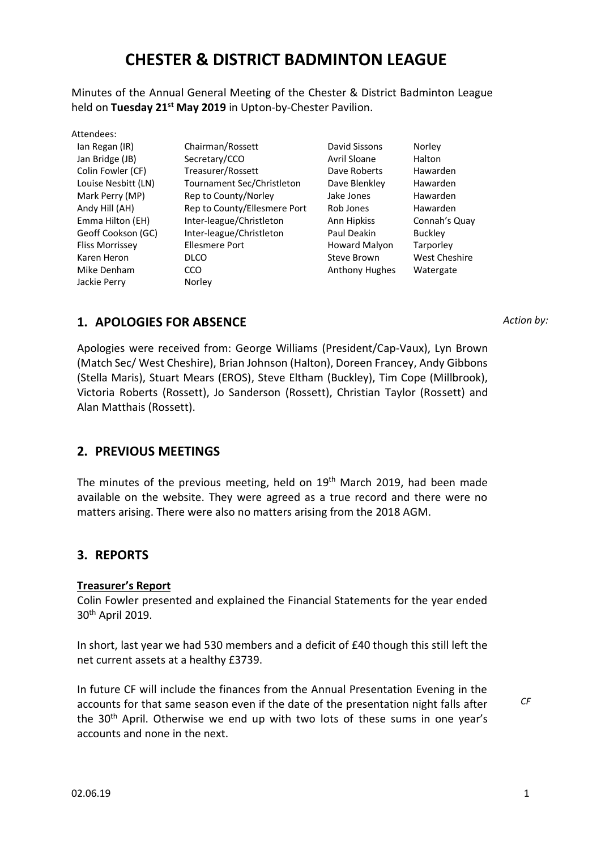# **CHESTER & DISTRICT BADMINTON LEAGUE**

Minutes of the Annual General Meeting of the Chester & District Badminton League held on **Tuesday 21st May 2019** in Upton-by-Chester Pavilion.

| Attendees: |  |
|------------|--|
|------------|--|

Ian Regan (IR) Jan Bridge (JB) Colin Fowler (CF) Louise Nesbitt (LN) Mark Perry (MP) Andy Hill (AH) Emma Hilton (EH) Geoff Cookson (GC) Fliss Morrissey Karen Heron Mike Denham Jackie Perry

Chairman/Rossett Secretary/CCO Treasurer/Rossett Tournament Sec/Christleton Rep to County/Norley Rep to County/Ellesmere Port Inter-league/Christleton Inter-league/Christleton Ellesmere Port DLCO **CCO** Norley

David Sissons Avril Sloane Dave Roberts Dave Blenkley Jake Jones Rob Jones Ann Hipkiss Paul Deakin Howard Malyon Steve Brown Anthony Hughes Norley Halton Hawarden Hawarden Hawarden Hawarden Connah's Quay Buckley **Tarporley** West Cheshire Watergate

## *Action by:*

**1. APOLOGIES FOR ABSENCE**

Apologies were received from: George Williams (President/Cap-Vaux), Lyn Brown (Match Sec/ West Cheshire), Brian Johnson (Halton), Doreen Francey, Andy Gibbons (Stella Maris), Stuart Mears (EROS), Steve Eltham (Buckley), Tim Cope (Millbrook), Victoria Roberts (Rossett), Jo Sanderson (Rossett), Christian Taylor (Rossett) and Alan Matthais (Rossett).

# **2. PREVIOUS MEETINGS**

The minutes of the previous meeting, held on 19<sup>th</sup> March 2019, had been made available on the website. They were agreed as a true record and there were no matters arising. There were also no matters arising from the 2018 AGM.

# **3. REPORTS**

## **Treasurer's Report**

Colin Fowler presented and explained the Financial Statements for the year ended 30th April 2019.

In short, last year we had 530 members and a deficit of £40 though this still left the net current assets at a healthy £3739.

In future CF will include the finances from the Annual Presentation Evening in the accounts for that same season even if the date of the presentation night falls after the 30th April. Otherwise we end up with two lots of these sums in one year's accounts and none in the next.

*CF*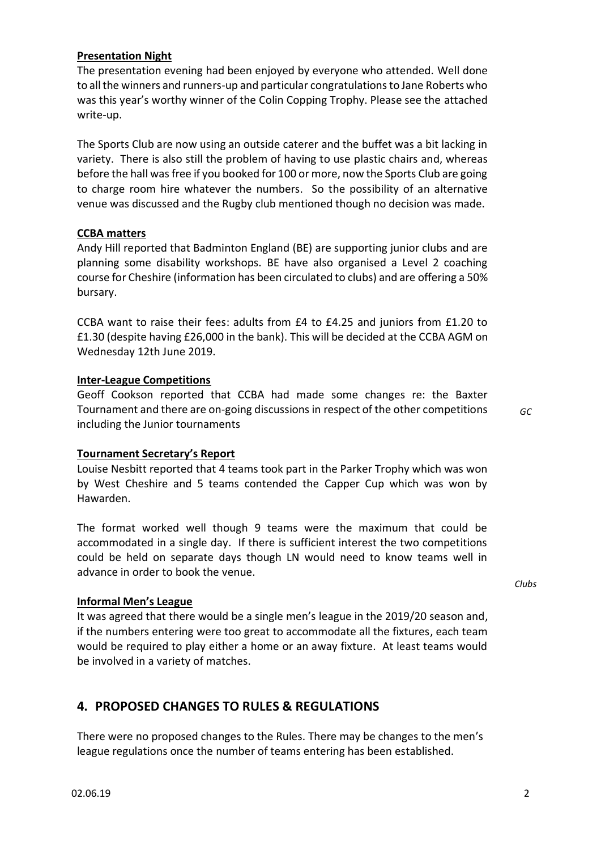## **Presentation Night**

The presentation evening had been enjoyed by everyone who attended. Well done to all the winners and runners-up and particular congratulations to Jane Roberts who was this year's worthy winner of the Colin Copping Trophy. Please see the attached write-up.

The Sports Club are now using an outside caterer and the buffet was a bit lacking in variety. There is also still the problem of having to use plastic chairs and, whereas before the hall was free if you booked for 100 or more, now the Sports Club are going to charge room hire whatever the numbers. So the possibility of an alternative venue was discussed and the Rugby club mentioned though no decision was made.

### **CCBA matters**

Andy Hill reported that Badminton England (BE) are supporting junior clubs and are planning some disability workshops. BE have also organised a Level 2 coaching course for Cheshire (information has been circulated to clubs) and are offering a 50% bursary.

CCBA want to raise their fees: adults from £4 to £4.25 and juniors from £1.20 to £1.30 (despite having £26,000 in the bank). This will be decided at the CCBA AGM on Wednesday 12th June 2019.

#### **Inter-League Competitions**

Geoff Cookson reported that CCBA had made some changes re: the Baxter Tournament and there are on-going discussions in respect of the other competitions including the Junior tournaments

*GC*

*Clubs*

### **Tournament Secretary's Report**

Louise Nesbitt reported that 4 teams took part in the Parker Trophy which was won by West Cheshire and 5 teams contended the Capper Cup which was won by Hawarden.

The format worked well though 9 teams were the maximum that could be accommodated in a single day. If there is sufficient interest the two competitions could be held on separate days though LN would need to know teams well in advance in order to book the venue.

### **Informal Men's League**

It was agreed that there would be a single men's league in the 2019/20 season and, if the numbers entering were too great to accommodate all the fixtures, each team would be required to play either a home or an away fixture. At least teams would be involved in a variety of matches.

## **4. PROPOSED CHANGES TO RULES & REGULATIONS**

There were no proposed changes to the Rules. There may be changes to the men's league regulations once the number of teams entering has been established.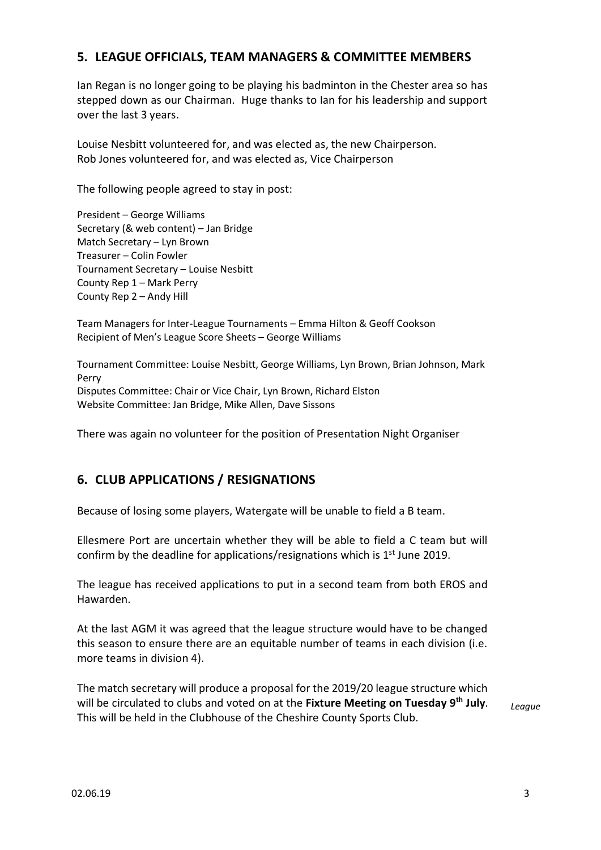# **5. LEAGUE OFFICIALS, TEAM MANAGERS & COMMITTEE MEMBERS**

Ian Regan is no longer going to be playing his badminton in the Chester area so has stepped down as our Chairman. Huge thanks to Ian for his leadership and support over the last 3 years.

Louise Nesbitt volunteered for, and was elected as, the new Chairperson. Rob Jones volunteered for, and was elected as, Vice Chairperson

The following people agreed to stay in post:

President – George Williams Secretary (& web content) – Jan Bridge Match Secretary – Lyn Brown Treasurer – Colin Fowler Tournament Secretary – Louise Nesbitt County Rep 1 – Mark Perry County Rep 2 – Andy Hill

Team Managers for Inter-League Tournaments – Emma Hilton & Geoff Cookson Recipient of Men's League Score Sheets – George Williams

Tournament Committee: Louise Nesbitt, George Williams, Lyn Brown, Brian Johnson, Mark Perry Disputes Committee: Chair or Vice Chair, Lyn Brown, Richard Elston Website Committee: Jan Bridge, Mike Allen, Dave Sissons

There was again no volunteer for the position of Presentation Night Organiser

# **6. CLUB APPLICATIONS / RESIGNATIONS**

Because of losing some players, Watergate will be unable to field a B team.

Ellesmere Port are uncertain whether they will be able to field a C team but will confirm by the deadline for applications/resignations which is  $1<sup>st</sup>$  June 2019.

The league has received applications to put in a second team from both EROS and Hawarden.

At the last AGM it was agreed that the league structure would have to be changed this season to ensure there are an equitable number of teams in each division (i.e. more teams in division 4).

The match secretary will produce a proposal for the 2019/20 league structure which will be circulated to clubs and voted on at the **Fixture Meeting on Tuesday 9th July**. This will be held in the Clubhouse of the Cheshire County Sports Club. *League*